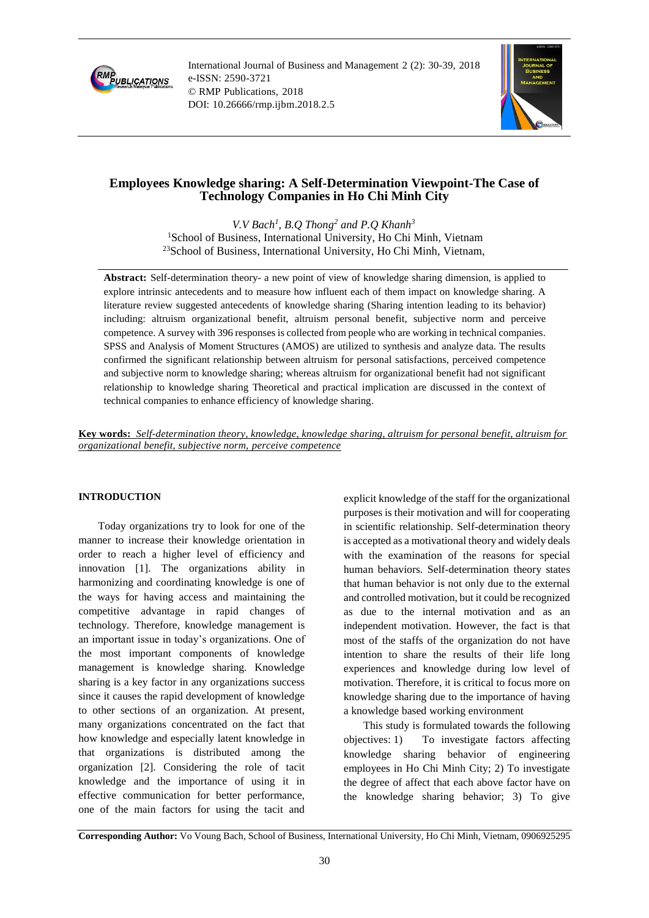

International Journal of Business and Management 2 (2): 30-39, 2018 e-ISSN: 2590-3721 © RMP Publications, 2018 DOI: 10.26666/rmp.ijbm.2018.2.5



# **Employees Knowledge sharing: A Self-Determination Viewpoint-The Case of Technology Companies in Ho Chi Minh City**

*V.V Bach<sup>1</sup> , B.Q Thong<sup>2</sup> and P.Q Khanh<sup>3</sup>* <sup>1</sup>School of Business, International University, Ho Chi Minh, Vietnam <sup>23</sup>School of Business, International University, Ho Chi Minh, Vietnam,

**Abstract:** Self-determination theory- a new point of view of knowledge sharing dimension, is applied to explore intrinsic antecedents and to measure how influent each of them impact on knowledge sharing. A literature review suggested antecedents of knowledge sharing (Sharing intention leading to its behavior) including: altruism organizational benefit, altruism personal benefit, subjective norm and perceive competence. A survey with 396 responses is collected from people who are working in technical companies. SPSS and Analysis of Moment Structures (AMOS) are utilized to synthesis and analyze data. The results confirmed the significant relationship between altruism for personal satisfactions, perceived competence and subjective norm to knowledge sharing; whereas altruism for organizational benefit had not significant relationship to knowledge sharing Theoretical and practical implication are discussed in the context of technical companies to enhance efficiency of knowledge sharing.

**Key words:** *Self-determination theory, knowledge, knowledge sharing, altruism for personal benefit, altruism for organizational benefit, subjective norm, perceive competence*

## **INTRODUCTION**

Today organizations try to look for one of the manner to increase their knowledge orientation in order to reach a higher level of efficiency and innovation [1]. The organizations ability in harmonizing and coordinating knowledge is one of the ways for having access and maintaining the competitive advantage in rapid changes of technology. Therefore, knowledge management is an important issue in today's organizations. One of the most important components of knowledge management is knowledge sharing. Knowledge sharing is a key factor in any organizations success since it causes the rapid development of knowledge to other sections of an organization. At present, many organizations concentrated on the fact that how knowledge and especially latent knowledge in that organizations is distributed among the organization [2]. Considering the role of tacit knowledge and the importance of using it in effective communication for better performance, one of the main factors for using the tacit and

explicit knowledge of the staff for the organizational purposes is their motivation and will for cooperating in scientific relationship. Self-determination theory is accepted as a motivational theory and widely deals with the examination of the reasons for special human behaviors. Self-determination theory states that human behavior is not only due to the external and controlled motivation, but it could be recognized as due to the internal motivation and as an independent motivation. However, the fact is that most of the staffs of the organization do not have intention to share the results of their life long experiences and knowledge during low level of motivation. Therefore, it is critical to focus more on knowledge sharing due to the importance of having a knowledge based working environment

This study is formulated towards the following objectives: 1) To investigate factors affecting knowledge sharing behavior of engineering employees in Ho Chi Minh City; 2) To investigate the degree of affect that each above factor have on the knowledge sharing behavior; 3) To give

**Corresponding Author:** Vo Voung Bach, School of Business, International University, Ho Chi Minh, Vietnam, 0906925295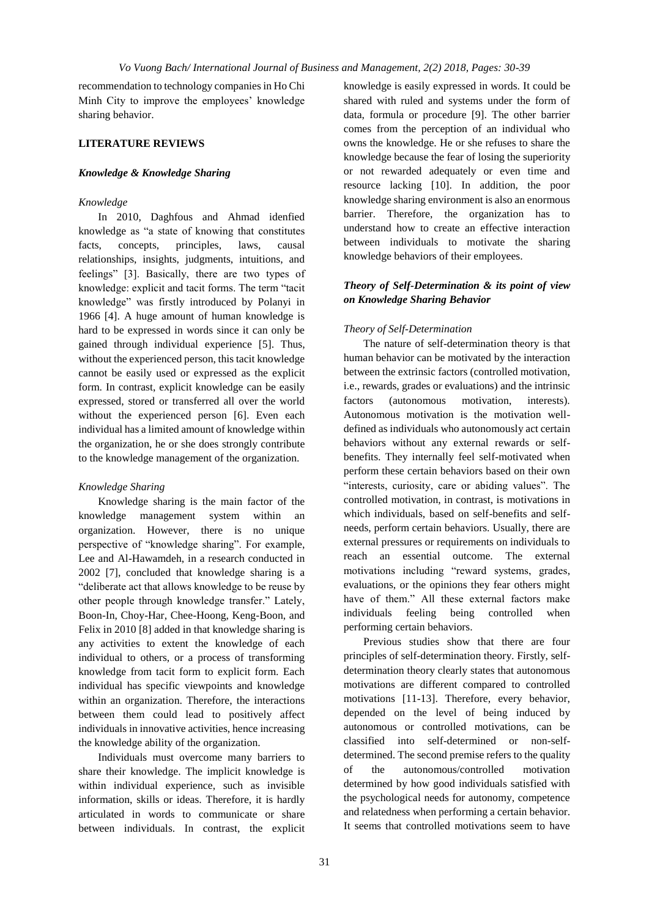recommendation to technology companies in Ho Chi Minh City to improve the employees' knowledge sharing behavior.

## **LITERATURE REVIEWS**

### *Knowledge & Knowledge Sharing*

### *Knowledge*

In 2010, Daghfous and Ahmad idenfied knowledge as "a state of knowing that constitutes facts, concepts, principles, laws, causal relationships, insights, judgments, intuitions, and feelings" [3]. Basically, there are two types of knowledge: explicit and tacit forms. The term "tacit knowledge" was firstly introduced by Polanyi in 1966 [4]. A huge amount of human knowledge is hard to be expressed in words since it can only be gained through individual experience [5]. Thus, without the experienced person, this tacit knowledge cannot be easily used or expressed as the explicit form. In contrast, explicit knowledge can be easily expressed, stored or transferred all over the world without the experienced person [6]. Even each individual has a limited amount of knowledge within the organization, he or she does strongly contribute to the knowledge management of the organization.

### *Knowledge Sharing*

Knowledge sharing is the main factor of the knowledge management system within an organization. However, there is no unique perspective of "knowledge sharing". For example, Lee and Al-Hawamdeh, in a research conducted in 2002 [7], concluded that knowledge sharing is a "deliberate act that allows knowledge to be reuse by other people through knowledge transfer." Lately, Boon-In, Choy-Har, Chee-Hoong, Keng-Boon, and Felix in 2010 [8] added in that knowledge sharing is any activities to extent the knowledge of each individual to others, or a process of transforming knowledge from tacit form to explicit form. Each individual has specific viewpoints and knowledge within an organization. Therefore, the interactions between them could lead to positively affect individuals in innovative activities, hence increasing the knowledge ability of the organization.

Individuals must overcome many barriers to share their knowledge. The implicit knowledge is within individual experience, such as invisible information, skills or ideas. Therefore, it is hardly articulated in words to communicate or share between individuals. In contrast, the explicit knowledge is easily expressed in words. It could be shared with ruled and systems under the form of data, formula or procedure [9]. The other barrier comes from the perception of an individual who owns the knowledge. He or she refuses to share the knowledge because the fear of losing the superiority or not rewarded adequately or even time and resource lacking [10]. In addition, the poor knowledge sharing environment is also an enormous barrier. Therefore, the organization has to understand how to create an effective interaction between individuals to motivate the sharing knowledge behaviors of their employees.

## *Theory of Self-Determination & its point of view on Knowledge Sharing Behavior*

#### *Theory of Self-Determination*

The nature of self-determination theory is that human behavior can be motivated by the interaction between the extrinsic factors (controlled motivation, i.e., rewards, grades or evaluations) and the intrinsic factors (autonomous motivation, interests). Autonomous motivation is the motivation welldefined as individuals who autonomously act certain behaviors without any external rewards or selfbenefits. They internally feel self-motivated when perform these certain behaviors based on their own "interests, curiosity, care or abiding values". The controlled motivation, in contrast, is motivations in which individuals, based on self-benefits and selfneeds, perform certain behaviors. Usually, there are external pressures or requirements on individuals to reach an essential outcome. The external motivations including "reward systems, grades, evaluations, or the opinions they fear others might have of them." All these external factors make individuals feeling being controlled when performing certain behaviors.

Previous studies show that there are four principles of self-determination theory. Firstly, selfdetermination theory clearly states that autonomous motivations are different compared to controlled motivations [11-13]. Therefore, every behavior, depended on the level of being induced by autonomous or controlled motivations, can be classified into self-determined or non-selfdetermined. The second premise refers to the quality of the autonomous/controlled motivation determined by how good individuals satisfied with the psychological needs for autonomy, competence and relatedness when performing a certain behavior. It seems that controlled motivations seem to have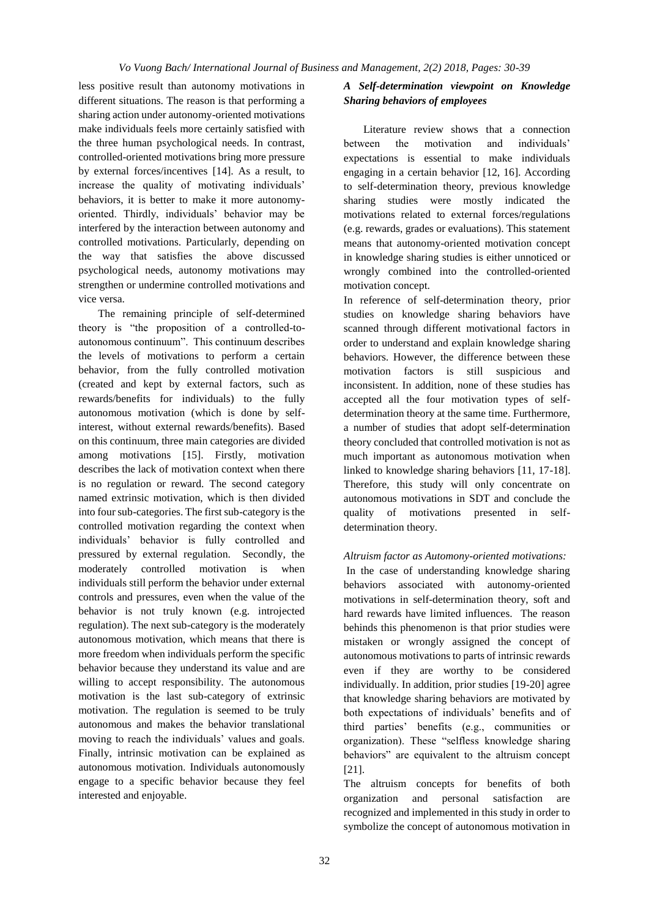less positive result than autonomy motivations in different situations. The reason is that performing a sharing action under autonomy-oriented motivations make individuals feels more certainly satisfied with the three human psychological needs. In contrast, controlled-oriented motivations bring more pressure by external forces/incentives [14]. As a result, to increase the quality of motivating individuals' behaviors, it is better to make it more autonomyoriented. Thirdly, individuals' behavior may be interfered by the interaction between autonomy and controlled motivations. Particularly, depending on the way that satisfies the above discussed psychological needs, autonomy motivations may strengthen or undermine controlled motivations and vice versa.

The remaining principle of self-determined theory is "the proposition of a controlled-toautonomous continuum". This continuum describes the levels of motivations to perform a certain behavior, from the fully controlled motivation (created and kept by external factors, such as rewards/benefits for individuals) to the fully autonomous motivation (which is done by selfinterest, without external rewards/benefits). Based on this continuum, three main categories are divided among motivations [15]. Firstly, motivation describes the lack of motivation context when there is no regulation or reward. The second category named extrinsic motivation, which is then divided into four sub-categories. The first sub-category is the controlled motivation regarding the context when individuals' behavior is fully controlled and pressured by external regulation. Secondly, the moderately controlled motivation is when individuals still perform the behavior under external controls and pressures, even when the value of the behavior is not truly known (e.g. introjected regulation). The next sub-category is the moderately autonomous motivation, which means that there is more freedom when individuals perform the specific behavior because they understand its value and are willing to accept responsibility. The autonomous motivation is the last sub-category of extrinsic motivation. The regulation is seemed to be truly autonomous and makes the behavior translational moving to reach the individuals' values and goals. Finally, intrinsic motivation can be explained as autonomous motivation. Individuals autonomously engage to a specific behavior because they feel interested and enjoyable.

## *A Self-determination viewpoint on Knowledge Sharing behaviors of employees*

Literature review shows that a connection between the motivation and individuals' expectations is essential to make individuals engaging in a certain behavior [12, 16]. According to self-determination theory, previous knowledge sharing studies were mostly indicated the motivations related to external forces/regulations (e.g. rewards, grades or evaluations). This statement means that autonomy-oriented motivation concept in knowledge sharing studies is either unnoticed or wrongly combined into the controlled-oriented motivation concept.

In reference of self-determination theory, prior studies on knowledge sharing behaviors have scanned through different motivational factors in order to understand and explain knowledge sharing behaviors. However, the difference between these motivation factors is still suspicious and inconsistent. In addition, none of these studies has accepted all the four motivation types of selfdetermination theory at the same time. Furthermore, a number of studies that adopt self-determination theory concluded that controlled motivation is not as much important as autonomous motivation when linked to knowledge sharing behaviors [11, 17-18]. Therefore, this study will only concentrate on autonomous motivations in SDT and conclude the quality of motivations presented in selfdetermination theory.

## *Altruism factor as Automony-oriented motivations:*

In the case of understanding knowledge sharing behaviors associated with autonomy-oriented motivations in self-determination theory, soft and hard rewards have limited influences. The reason behinds this phenomenon is that prior studies were mistaken or wrongly assigned the concept of autonomous motivations to parts of intrinsic rewards even if they are worthy to be considered individually. In addition, prior studies [19-20] agree that knowledge sharing behaviors are motivated by both expectations of individuals' benefits and of third parties' benefits (e.g., communities or organization). These "selfless knowledge sharing behaviors" are equivalent to the altruism concept [21].

The altruism concepts for benefits of both organization and personal satisfaction are recognized and implemented in this study in order to symbolize the concept of autonomous motivation in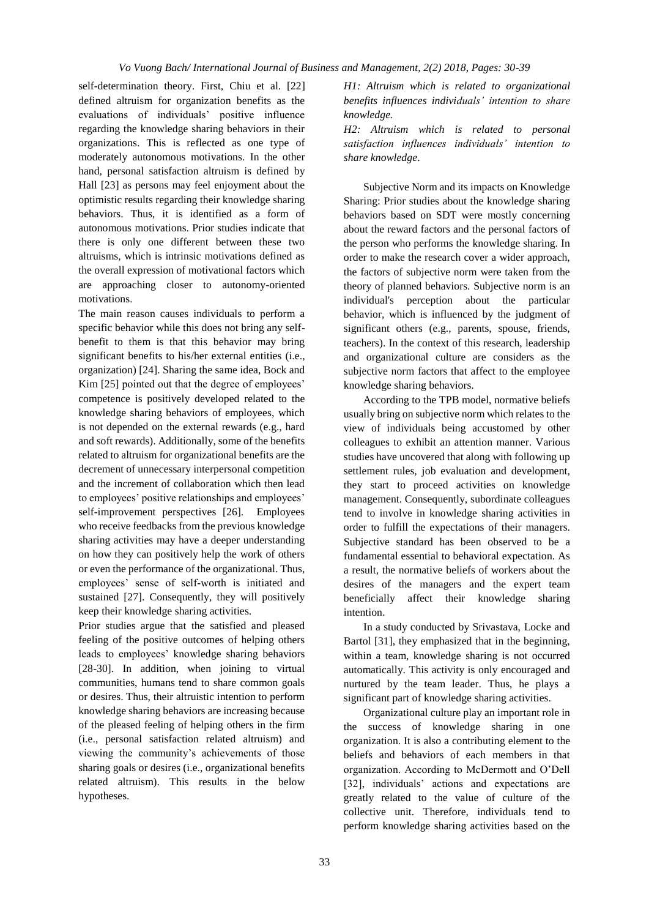self-determination theory. First, Chiu et al. [22] defined altruism for organization benefits as the evaluations of individuals' positive influence regarding the knowledge sharing behaviors in their organizations. This is reflected as one type of moderately autonomous motivations. In the other hand, personal satisfaction altruism is defined by Hall [23] as persons may feel enjoyment about the optimistic results regarding their knowledge sharing behaviors. Thus, it is identified as a form of autonomous motivations. Prior studies indicate that there is only one different between these two altruisms, which is intrinsic motivations defined as the overall expression of motivational factors which are approaching closer to autonomy-oriented motivations.

The main reason causes individuals to perform a specific behavior while this does not bring any selfbenefit to them is that this behavior may bring significant benefits to his/her external entities (i.e., organization) [24]. Sharing the same idea, Bock and Kim [25] pointed out that the degree of employees' competence is positively developed related to the knowledge sharing behaviors of employees, which is not depended on the external rewards (e.g., hard and soft rewards). Additionally, some of the benefits related to altruism for organizational benefits are the decrement of unnecessary interpersonal competition and the increment of collaboration which then lead to employees' positive relationships and employees' self-improvement perspectives [26]. Employees who receive feedbacks from the previous knowledge sharing activities may have a deeper understanding on how they can positively help the work of others or even the performance of the organizational. Thus, employees' sense of self-worth is initiated and sustained [27]. Consequently, they will positively keep their knowledge sharing activities.

Prior studies argue that the satisfied and pleased feeling of the positive outcomes of helping others leads to employees' knowledge sharing behaviors [28-30]. In addition, when joining to virtual communities, humans tend to share common goals or desires. Thus, their altruistic intention to perform knowledge sharing behaviors are increasing because of the pleased feeling of helping others in the firm (i.e., personal satisfaction related altruism) and viewing the community's achievements of those sharing goals or desires (i.e., organizational benefits related altruism). This results in the below hypotheses.

*H1: Altruism which is related to organizational benefits influences individuals' intention to share knowledge.*

*H2: Altruism which is related to personal satisfaction influences individuals' intention to share knowledge*.

Subjective Norm and its impacts on Knowledge Sharing: Prior studies about the knowledge sharing behaviors based on SDT were mostly concerning about the reward factors and the personal factors of the person who performs the knowledge sharing. In order to make the research cover a wider approach, the factors of subjective norm were taken from the theory of planned behaviors. Subjective norm is an individual's perception about the particular behavior, which is influenced by the judgment of significant others (e.g., parents, spouse, friends, teachers). In the context of this research, leadership and organizational culture are considers as the subjective norm factors that affect to the employee knowledge sharing behaviors.

According to the TPB model, normative beliefs usually bring on subjective norm which relates to the view of individuals being accustomed by other colleagues to exhibit an attention manner. Various studies have uncovered that along with following up settlement rules, job evaluation and development, they start to proceed activities on knowledge management. Consequently, subordinate colleagues tend to involve in knowledge sharing activities in order to fulfill the expectations of their managers. Subjective standard has been observed to be a fundamental essential to behavioral expectation. As a result, the normative beliefs of workers about the desires of the managers and the expert team beneficially affect their knowledge sharing intention.

In a study conducted by Srivastava, Locke and Bartol [31], they emphasized that in the beginning, within a team, knowledge sharing is not occurred automatically. This activity is only encouraged and nurtured by the team leader. Thus, he plays a significant part of knowledge sharing activities.

Organizational culture play an important role in the success of knowledge sharing in one organization. It is also a contributing element to the beliefs and behaviors of each members in that organization. According to McDermott and O'Dell [32], individuals' actions and expectations are greatly related to the value of culture of the collective unit. Therefore, individuals tend to perform knowledge sharing activities based on the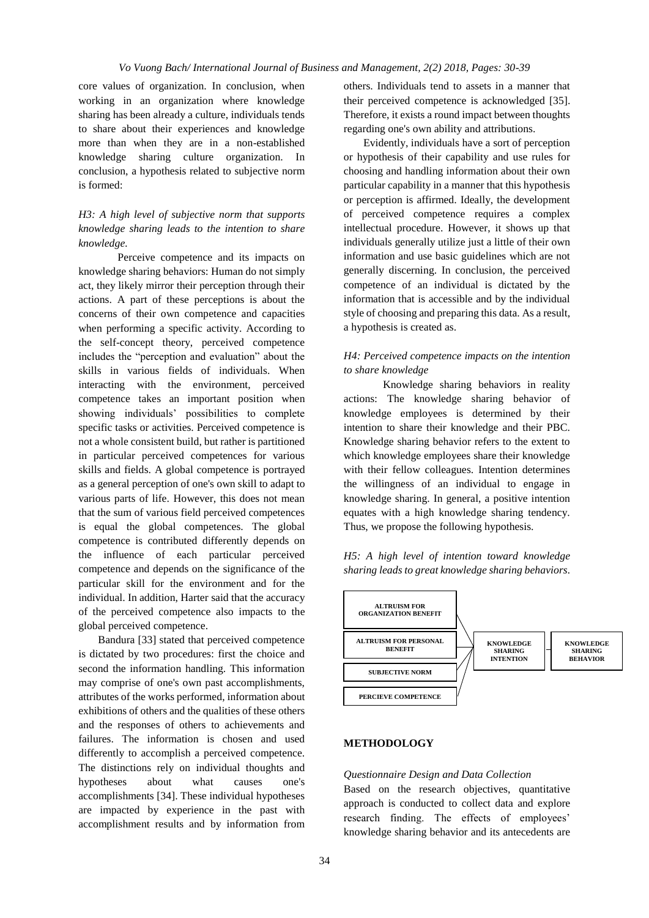core values of organization. In conclusion, when working in an organization where knowledge sharing has been already a culture, individuals tends to share about their experiences and knowledge more than when they are in a non-established knowledge sharing culture organization. In conclusion, a hypothesis related to subjective norm is formed:

## *H3: A high level of subjective norm that supports knowledge sharing leads to the intention to share knowledge.*

Perceive competence and its impacts on knowledge sharing behaviors: Human do not simply act, they likely mirror their perception through their actions. A part of these perceptions is about the concerns of their own competence and capacities when performing a specific activity. According to the self-concept theory, perceived competence includes the "perception and evaluation" about the skills in various fields of individuals. When interacting with the environment, perceived competence takes an important position when showing individuals' possibilities to complete specific tasks or activities. Perceived competence is not a whole consistent build, but rather is partitioned in particular perceived competences for various skills and fields. A global competence is portrayed as a general perception of one's own skill to adapt to various parts of life. However, this does not mean that the sum of various field perceived competences is equal the global competences. The global competence is contributed differently depends on the influence of each particular perceived competence and depends on the significance of the particular skill for the environment and for the individual. In addition, Harter said that the accuracy of the perceived competence also impacts to the global perceived competence.

Bandura [33] stated that perceived competence is dictated by two procedures: first the choice and second the information handling. This information may comprise of one's own past accomplishments, attributes of the works performed, information about exhibitions of others and the qualities of these others and the responses of others to achievements and failures. The information is chosen and used differently to accomplish a perceived competence. The distinctions rely on individual thoughts and hypotheses about what causes one's accomplishments [34]. These individual hypotheses are impacted by experience in the past with accomplishment results and by information from others. Individuals tend to assets in a manner that their perceived competence is acknowledged [35]. Therefore, it exists a round impact between thoughts regarding one's own ability and attributions.

Evidently, individuals have a sort of perception or hypothesis of their capability and use rules for choosing and handling information about their own particular capability in a manner that this hypothesis or perception is affirmed. Ideally, the development of perceived competence requires a complex intellectual procedure. However, it shows up that individuals generally utilize just a little of their own information and use basic guidelines which are not generally discerning. In conclusion, the perceived competence of an individual is dictated by the information that is accessible and by the individual style of choosing and preparing this data. As a result, a hypothesis is created as.

## *H4: Perceived competence impacts on the intention to share knowledge*

Knowledge sharing behaviors in reality actions: The knowledge sharing behavior of knowledge employees is determined by their intention to share their knowledge and their PBC. Knowledge sharing behavior refers to the extent to which knowledge employees share their knowledge with their fellow colleagues. Intention determines the willingness of an individual to engage in knowledge sharing. In general, a positive intention equates with a high knowledge sharing tendency. Thus, we propose the following hypothesis.

*H5: A high level of intention toward knowledge sharing leads to great knowledge sharing behaviors.*



### **METHODOLOGY**

### *Questionnaire Design and Data Collection*

Based on the research objectives, quantitative approach is conducted to collect data and explore research finding. The effects of employees' knowledge sharing behavior and its antecedents are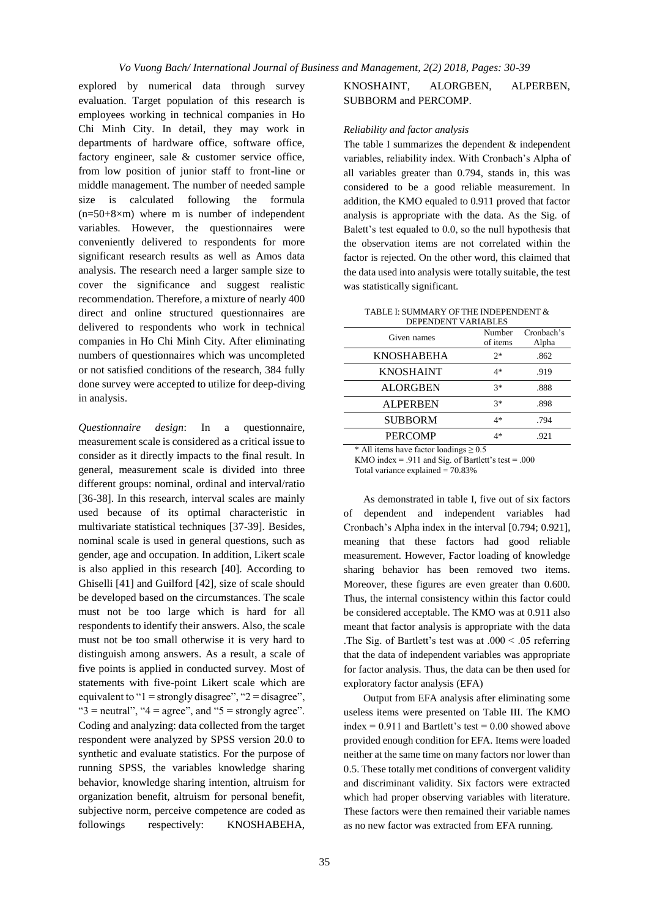explored by numerical data through survey evaluation. Target population of this research is employees working in technical companies in Ho Chi Minh City. In detail, they may work in departments of hardware office, software office, factory engineer, sale & customer service office, from low position of junior staff to front-line or middle management. The number of needed sample size is calculated following the formula  $(n=50+8\times m)$  where m is number of independent variables. However, the questionnaires were conveniently delivered to respondents for more significant research results as well as Amos data analysis. The research need a larger sample size to cover the significance and suggest realistic recommendation. Therefore, a mixture of nearly 400 direct and online structured questionnaires are delivered to respondents who work in technical companies in Ho Chi Minh City. After eliminating numbers of questionnaires which was uncompleted or not satisfied conditions of the research, 384 fully done survey were accepted to utilize for deep-diving in analysis.

*Questionnaire design*: In a questionnaire, measurement scale is considered as a critical issue to consider as it directly impacts to the final result. In general, measurement scale is divided into three different groups: nominal, ordinal and interval/ratio [36-38]. In this research, interval scales are mainly used because of its optimal characteristic in multivariate statistical techniques [37-39]. Besides, nominal scale is used in general questions, such as gender, age and occupation. In addition, Likert scale is also applied in this research [40]. According to Ghiselli [41] and Guilford [42], size of scale should be developed based on the circumstances. The scale must not be too large which is hard for all respondents to identify their answers. Also, the scale must not be too small otherwise it is very hard to distinguish among answers. As a result, a scale of five points is applied in conducted survey. Most of statements with five-point Likert scale which are equivalent to " $1 =$  strongly disagree", " $2 =$  disagree", " $3$  = neutral", " $4$  = agree", and " $5$  = strongly agree". Coding and analyzing: data collected from the target respondent were analyzed by SPSS version 20.0 to synthetic and evaluate statistics. For the purpose of running SPSS, the variables knowledge sharing behavior, knowledge sharing intention, altruism for organization benefit, altruism for personal benefit, subjective norm, perceive competence are coded as followings respectively: KNOSHABEHA,

## KNOSHAINT, ALORGBEN, ALPERBEN, SUBBORM and PERCOMP.

### *Reliability and factor analysis*

The table I summarizes the dependent  $\&$  independent variables, reliability index. With Cronbach's Alpha of all variables greater than 0.794, stands in, this was considered to be a good reliable measurement. In addition, the KMO equaled to 0.911 proved that factor analysis is appropriate with the data. As the Sig. of Balett's test equaled to 0.0, so the null hypothesis that the observation items are not correlated within the factor is rejected. On the other word, this claimed that the data used into analysis were totally suitable, the test was statistically significant.

TABLE I: SUMMARY OF THE INDEPENDENT & DEPENDENT VARIABLES

| РЫ ЕРРЕРГ ГАВИАРЕВ |                    |                     |  |  |  |
|--------------------|--------------------|---------------------|--|--|--|
| Given names        | Number<br>of items | Cronbach's<br>Alpha |  |  |  |
| <b>KNOSHABEHA</b>  | $2*$               | .862                |  |  |  |
| <b>KNOSHAINT</b>   | 4*                 | .919                |  |  |  |
| <b>ALORGBEN</b>    | $3*$               | .888                |  |  |  |
| <b>ALPERBEN</b>    | $3*$               | .898                |  |  |  |
| <b>SUBBORM</b>     | 4*                 | .794                |  |  |  |
| <b>PERCOMP</b>     | 4*                 | .921                |  |  |  |

All items have factor loadings  $> 0.5$ 

KMO index = .911 and Sig. of Bartlett's test = .000

Total variance explained  $= 70.83%$ 

As demonstrated in table I, five out of six factors of dependent and independent variables had Cronbach's Alpha index in the interval [0.794; 0.921], meaning that these factors had good reliable measurement. However, Factor loading of knowledge sharing behavior has been removed two items. Moreover, these figures are even greater than 0.600. Thus, the internal consistency within this factor could be considered acceptable. The KMO was at 0.911 also meant that factor analysis is appropriate with the data .The Sig. of Bartlett's test was at .000 < .05 referring that the data of independent variables was appropriate for factor analysis. Thus, the data can be then used for exploratory factor analysis (EFA)

Output from EFA analysis after eliminating some useless items were presented on Table III. The KMO index =  $0.911$  and Bartlett's test =  $0.00$  showed above provided enough condition for EFA. Items were loaded neither at the same time on many factors nor lower than 0.5. These totally met conditions of convergent validity and discriminant validity. Six factors were extracted which had proper observing variables with literature. These factors were then remained their variable names as no new factor was extracted from EFA running.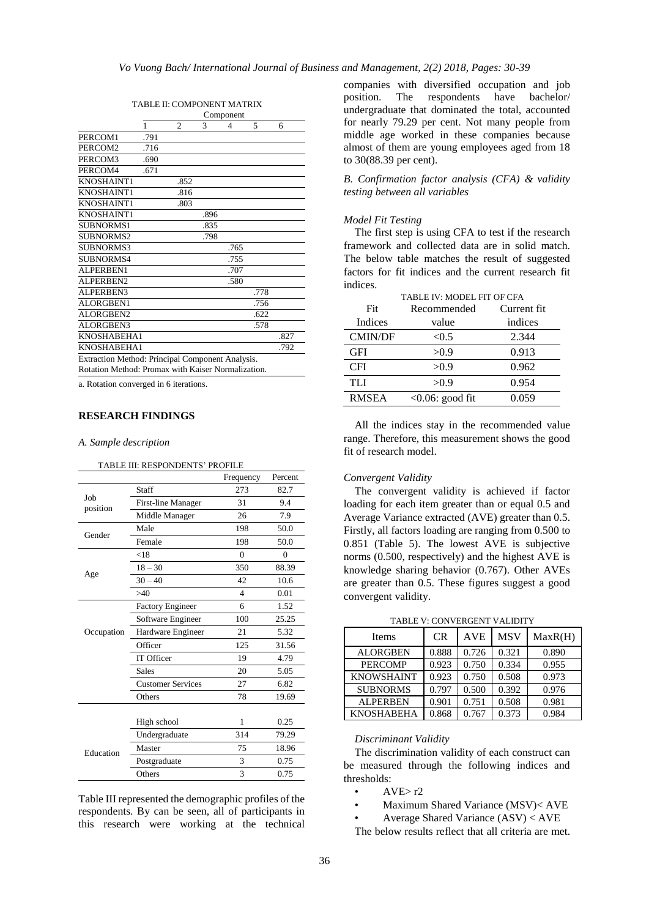|                                                    | Component |                |      |      |      |      |
|----------------------------------------------------|-----------|----------------|------|------|------|------|
|                                                    | 1         | $\mathfrak{2}$ | 3    | 4    | 5    | 6    |
| PERCOM1                                            | .791      |                |      |      |      |      |
| PERCOM2                                            | .716      |                |      |      |      |      |
| PERCOM3                                            | .690      |                |      |      |      |      |
| PERCOM4                                            | .671      |                |      |      |      |      |
| KNOSHAINT1                                         |           | .852           |      |      |      |      |
| KNOSHAINT1                                         |           | .816           |      |      |      |      |
| KNOSHAINT1                                         |           | .803           |      |      |      |      |
| KNOSHAINT1                                         |           |                | .896 |      |      |      |
| <b>SUBNORMS1</b>                                   |           |                | .835 |      |      |      |
| <b>SUBNORMS2</b>                                   |           |                | .798 |      |      |      |
| <b>SUBNORMS3</b>                                   |           |                |      | .765 |      |      |
| <b>SUBNORMS4</b>                                   |           |                |      | .755 |      |      |
| ALPERBEN1                                          |           |                |      | .707 |      |      |
| ALPERBEN2                                          |           |                |      | .580 |      |      |
| ALPERBEN3                                          |           |                |      |      | .778 |      |
| ALORGBEN1                                          |           |                |      |      | .756 |      |
| <b>ALORGBEN2</b>                                   |           |                |      |      | .622 |      |
| <b>ALORGBEN3</b>                                   |           |                |      |      | .578 |      |
| KNOSHABEHA1                                        |           |                |      |      |      | .827 |
| KNOSHABEHA1                                        |           |                |      |      |      | .792 |
| Extraction Method: Principal Component Analysis.   |           |                |      |      |      |      |
| Rotation Method: Promax with Kaiser Normalization. |           |                |      |      |      |      |

TABLE II: COMPONENT MATRIX

a. Rotation converged in 6 iterations.

## **RESEARCH FINDINGS**

*A. Sample description*

#### TABLE III: RESPONDENTS' PROFILE Frequency Percent Job position Staff 273 82.7 First-line Manager 31 9.4 Middle Manager 26 7.9 Gender Male 198 50.0 Female 198 50.0 Age  $< 18$  0 0 18 – 30 350 88.39  $30 - 40$   $42$   $10.6$  $>40$  4 0.01 Occupation Factory Engineer 6 1.52 Software Engineer 100 25.25 Hardware Engineer 21 5.32 Officer 125 31.56 IT Officer 19 4.79 Sales 20 5.05 Customer Services 27 6.82 Others 78 19.69 Education High school 1 0.25 Undergraduate 314 79.29 Master 75 18.96 Postgraduate 3 0.75

Table III represented the demographic profiles of the respondents. By can be seen, all of participants in this research were working at the technical

Others 3 0.75

companies with diversified occupation and job position. The respondents have bachelor/ undergraduate that dominated the total, accounted for nearly 79.29 per cent. Not many people from middle age worked in these companies because almost of them are young employees aged from 18 to 30(88.39 per cent).

*B. Confirmation factor analysis (CFA) & validity testing between all variables*

### *Model Fit Testing*

The first step is using CFA to test if the research framework and collected data are in solid match. The below table matches the result of suggested factors for fit indices and the current research fit indices.

| TABLE IV: MODEL FIT OF CFA |                            |         |  |  |  |  |
|----------------------------|----------------------------|---------|--|--|--|--|
| Fit                        | Current fit<br>Recommended |         |  |  |  |  |
| Indices                    | value                      | indices |  |  |  |  |
| <b>CMIN/DF</b>             | < 0.5                      | 2.344   |  |  |  |  |
| <b>GFI</b>                 | >0.9                       | 0.913   |  |  |  |  |
| <b>CFI</b>                 | >0.9                       | 0.962   |  |  |  |  |
| <b>TLI</b>                 | >0.9                       | 0.954   |  |  |  |  |
| <b>RMSEA</b>               | $<0.06$ : good fit         | 0.059   |  |  |  |  |

All the indices stay in the recommended value range. Therefore, this measurement shows the good fit of research model.

#### *Convergent Validity*

The convergent validity is achieved if factor loading for each item greater than or equal 0.5 and Average Variance extracted (AVE) greater than 0.5. Firstly, all factors loading are ranging from 0.500 to 0.851 (Table 5). The lowest AVE is subjective norms (0.500, respectively) and the highest AVE is knowledge sharing behavior (0.767). Other AVEs are greater than 0.5. These figures suggest a good convergent validity.

TABLE V: CONVERGENT VALIDITY

| Items             | <b>CR</b> | <b>AVE</b> | <b>MSV</b> | MaxR(H) |  |
|-------------------|-----------|------------|------------|---------|--|
| <b>ALORGBEN</b>   | 0.888     | 0.726      | 0.321      | 0.890   |  |
| <b>PERCOMP</b>    | 0.923     | 0.750      | 0.334      | 0.955   |  |
| <b>KNOWSHAINT</b> | 0.923     | 0.750      | 0.508      | 0.973   |  |
| <b>SUBNORMS</b>   | 0.797     | 0.500      | 0.392      | 0.976   |  |
| <b>ALPERBEN</b>   | 0.901     | 0.751      | 0.508      | 0.981   |  |
| <b>KNOSHABEHA</b> | 0.868     | 0.767      | 0.373      | 0.984   |  |

#### *Discriminant Validity*

The discrimination validity of each construct can be measured through the following indices and thresholds:

- $AVE > r2$
- Maximum Shared Variance (MSV)< AVE
- Average Shared Variance (ASV) < AVE

The below results reflect that all criteria are met.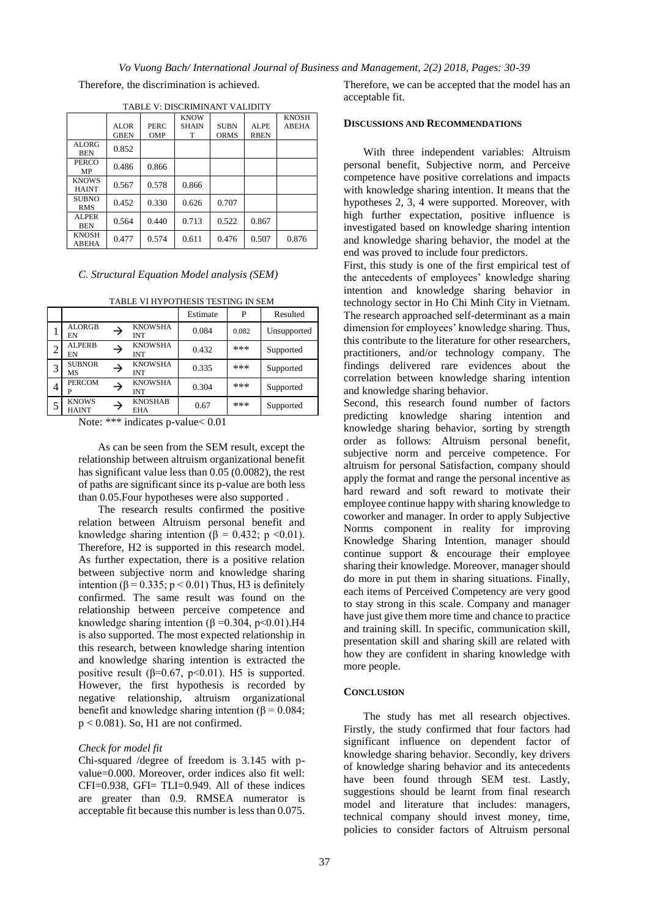*Vo Vuong Bach/ International Journal of Business and Management, 2(2) 2018, Pages: 30-39*

Therefore, the discrimination is achieved.

| TABLE V: DISCRIMINANT VALIDITY |             |            |              |              |             |              |
|--------------------------------|-------------|------------|--------------|--------------|-------------|--------------|
|                                |             |            | <b>KNOW</b>  | <b>KNOSH</b> |             |              |
|                                | ALOR.       | PERC       | <b>SHAIN</b> | <b>SUBN</b>  | ALPE        | <b>ABEHA</b> |
|                                | <b>GBEN</b> | <b>OMP</b> | T            | <b>ORMS</b>  | <b>RBEN</b> |              |
| <b>ALORG</b><br><b>BEN</b>     | 0.852       |            |              |              |             |              |
| PERCO<br>MP                    | 0.486       | 0.866      |              |              |             |              |
| <b>KNOWS</b><br><b>HAINT</b>   | 0.567       | 0.578      | 0.866        |              |             |              |
| <b>SUBNO</b><br><b>RMS</b>     | 0.452       | 0.330      | 0.626        | 0.707        |             |              |
| ALPER<br><b>BEN</b>            | 0.564       | 0.440      | 0.713        | 0.522        | 0.867       |              |
| <b>KNOSH</b><br><b>ABEHA</b>   | 0.477       | 0.574      | 0.611        | 0.476        | 0.507       | 0.876        |

### *C. Structural Equation Model analysis (SEM)*

TABLE VI HYPOTHESIS TESTING IN SEMINATUR IN SEMINATUR IN SEMINATUR IN SEMINATUR IN SEMINATUR IN SEMINATUR IN S

|                | TABLE VI HYPOTHESIS TESTING IN SEM |               |                              |          |       |             |
|----------------|------------------------------------|---------------|------------------------------|----------|-------|-------------|
|                |                                    |               |                              | Estimate | P     | Resulted    |
|                | <b>ALORGB</b><br>EN                | $\rightarrow$ | <b>KNOWSHA</b><br><b>INT</b> | 0.084    | 0.082 | Unsupported |
| $\overline{c}$ | <b>ALPERB</b><br>EN                | →             | <b>KNOWSHA</b><br><b>INT</b> | 0.432    | ***   | Supported   |
| 3              | <b>SUBNOR</b><br>MS                | →             | <b>KNOWSHA</b><br><b>INT</b> | 0.335    | ***   | Supported   |
| 4              | <b>PERCOM</b><br>P                 | →             | <b>KNOWSHA</b><br><b>INT</b> | 0.304    | ***   | Supported   |
| 5              | <b>KNOWS</b><br><b>HAINT</b>       | →             | <b>KNOSHAB</b><br><b>EHA</b> | 0.67     | ***   | Supported   |

Note: \*\*\* indicates p-value< 0.01

As can be seen from the SEM result, except the relationship between altruism organizational benefit has significant value less than 0.05 (0.0082), the rest of paths are significant since its p-value are both less than 0.05.Four hypotheses were also supported .

The research results confirmed the positive relation between Altruism personal benefit and knowledge sharing intention ( $\beta = 0.432$ ; p <0.01). Therefore, H2 is supported in this research model. As further expectation, there is a positive relation between subjective norm and knowledge sharing intention (β = 0.335; p < 0.01) Thus, H3 is definitely confirmed. The same result was found on the relationship between perceive competence and knowledge sharing intention ( $\beta = 0.304$ , p<0.01).H4 is also supported. The most expected relationship in this research, between knowledge sharing intention and knowledge sharing intention is extracted the positive result ( $\beta$ =0.67, p<0.01). H5 is supported. However, the first hypothesis is recorded by negative relationship, altruism organizational benefit and knowledge sharing intention ( $\beta$  = 0.084;  $p < 0.081$ ). So, H1 are not confirmed.

### *Check for model fit*

Chi-squared /degree of freedom is 3.145 with pvalue=0.000. Moreover, order indices also fit well:  $CFI=0.938$ ,  $GFI=TLI=0.949$ . All of these indices are greater than 0.9. RMSEA numerator is acceptable fit because this number is less than 0.075.

Therefore, we can be accepted that the model has an acceptable fit.

### **DISCUSSIONS AND RECOMMENDATIONS**

With three independent variables: Altruism personal benefit, Subjective norm, and Perceive competence have positive correlations and impacts with knowledge sharing intention. It means that the hypotheses 2, 3, 4 were supported. Moreover, with high further expectation, positive influence is investigated based on knowledge sharing intention and knowledge sharing behavior, the model at the end was proved to include four predictors.

First, this study is one of the first empirical test of the antecedents of employees' knowledge sharing intention and knowledge sharing behavior in technology sector in Ho Chi Minh City in Vietnam. The research approached self-determinant as a main dimension for employees' knowledge sharing. Thus, this contribute to the literature for other researchers, practitioners, and/or technology company. The findings delivered rare evidences about the correlation between knowledge sharing intention and knowledge sharing behavior.

Second, this research found number of factors predicting knowledge sharing intention and knowledge sharing behavior, sorting by strength order as follows: Altruism personal benefit, subjective norm and perceive competence. For altruism for personal Satisfaction, company should apply the format and range the personal incentive as hard reward and soft reward to motivate their employee continue happy with sharing knowledge to coworker and manager. In order to apply Subjective Norms component in reality for improving Knowledge Sharing Intention, manager should continue support & encourage their employee sharing their knowledge. Moreover, manager should do more in put them in sharing situations. Finally, each items of Perceived Competency are very good to stay strong in this scale. Company and manager have just give them more time and chance to practice and training skill. In specific, communication skill, presentation skill and sharing skill are related with how they are confident in sharing knowledge with more people.

#### **CONCLUSION**

The study has met all research objectives. Firstly, the study confirmed that four factors had significant influence on dependent factor of knowledge sharing behavior. Secondly, key drivers of knowledge sharing behavior and its antecedents have been found through SEM test. Lastly, suggestions should be learnt from final research model and literature that includes: managers, technical company should invest money, time, policies to consider factors of Altruism personal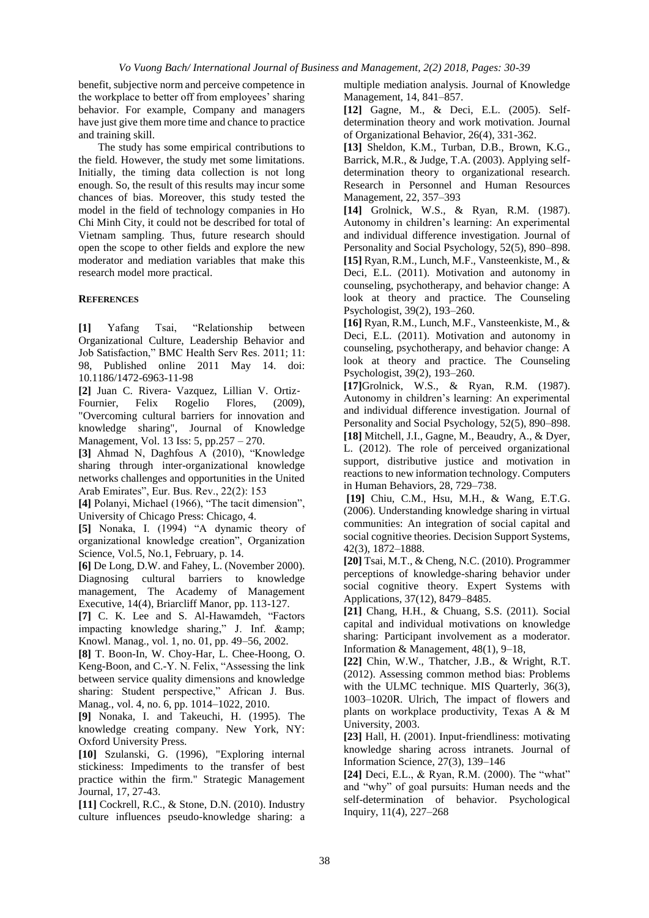benefit, subjective norm and perceive competence in the workplace to better off from employees' sharing behavior. For example, Company and managers have just give them more time and chance to practice and training skill.

The study has some empirical contributions to the field. However, the study met some limitations. Initially, the timing data collection is not long enough. So, the result of this results may incur some chances of bias. Moreover, this study tested the model in the field of technology companies in Ho Chi Minh City, it could not be described for total of Vietnam sampling. Thus, future research should open the scope to other fields and explore the new moderator and mediation variables that make this research model more practical.

## **REFERENCES**

**[1]** Yafang Tsai, "Relationship between Organizational Culture, Leadership Behavior and Job Satisfaction," BMC Health Serv Res. 2011; 11: 98, Published online 2011 May 14. doi: 10.1186/1472-6963-11-98

**[2]** Juan C. Rivera‐ Vazquez, Lillian V. Ortiz‐ Fournier, Felix Rogelio Flores, (2009), "Overcoming cultural barriers for innovation and knowledge sharing", Journal of Knowledge Management, Vol. 13 Iss: 5, pp.257 – 270.

**[3]** Ahmad N, Daghfous A (2010), "Knowledge sharing through inter-organizational knowledge networks challenges and opportunities in the United Arab Emirates", Eur. Bus. Rev., 22(2): 153

**[4]** Polanyi, Michael (1966), "The tacit dimension", University of Chicago Press: Chicago, 4.

**[5]** Nonaka, I. (1994) "A dynamic theory of organizational knowledge creation", Organization Science, Vol.5, No.1, February, p. 14.

**[6]** De Long, D.W. and Fahey, L. (November 2000). Diagnosing cultural barriers to knowledge management, The Academy of Management Executive, 14(4), Briarcliff Manor, pp. 113-127.

**[7]** C. K. Lee and S. Al-Hawamdeh, "Factors impacting knowledge sharing," J. Inf. & Knowl. Manag., vol. 1, no. 01, pp. 49–56, 2002.

**[8]** T. Boon-In, W. Choy-Har, L. Chee-Hoong, O. Keng-Boon, and C.-Y. N. Felix, "Assessing the link between service quality dimensions and knowledge sharing: Student perspective," African J. Bus. Manag., vol. 4, no. 6, pp. 1014–1022, 2010.

**[9]** Nonaka, I. and Takeuchi, H. (1995). The knowledge creating company. New York, NY: Oxford University Press.

**[10]** Szulanski, G. (1996), "Exploring internal stickiness: Impediments to the transfer of best practice within the firm." Strategic Management Journal, 17, 27-43.

**[11]** Cockrell, R.C., & Stone, D.N. (2010). Industry culture influences pseudo-knowledge sharing: a multiple mediation analysis. Journal of Knowledge Management, 14, 841–857.

**[12]** Gagne, M., & Deci, E.L. (2005). Selfdetermination theory and work motivation. Journal of Organizational Behavior, 26(4), 331-362.

**[13]** Sheldon, K.M., Turban, D.B., Brown, K.G., Barrick, M.R., & Judge, T.A. (2003). Applying selfdetermination theory to organizational research. Research in Personnel and Human Resources Management, 22, 357–393

**[14]** Grolnick, W.S., & Ryan, R.M. (1987). Autonomy in children's learning: An experimental and individual difference investigation. Journal of Personality and Social Psychology, 52(5), 890–898. **[15]** Ryan, R.M., Lunch, M.F., Vansteenkiste, M., & Deci, E.L. (2011). Motivation and autonomy in counseling, psychotherapy, and behavior change: A look at theory and practice. The Counseling Psychologist, 39(2), 193–260.

**[16]** Ryan, R.M., Lunch, M.F., Vansteenkiste, M., & Deci, E.L. (2011). Motivation and autonomy in counseling, psychotherapy, and behavior change: A look at theory and practice. The Counseling Psychologist, 39(2), 193–260.

**[17]**Grolnick, W.S., & Ryan, R.M. (1987). Autonomy in children's learning: An experimental and individual difference investigation. Journal of Personality and Social Psychology, 52(5), 890–898.

**[18]** Mitchell, J.I., Gagne, M., Beaudry, A., & Dyer, L. (2012). The role of perceived organizational support, distributive justice and motivation in reactions to new information technology. Computers in Human Behaviors, 28, 729–738.

**[19]** Chiu, C.M., Hsu, M.H., & Wang, E.T.G. (2006). Understanding knowledge sharing in virtual communities: An integration of social capital and social cognitive theories. Decision Support Systems, 42(3), 1872–1888.

**[20]** Tsai, M.T., & Cheng, N.C. (2010). Programmer perceptions of knowledge-sharing behavior under social cognitive theory. Expert Systems with Applications, 37(12), 8479–8485.

**[21]** Chang, H.H., & Chuang, S.S. (2011). Social capital and individual motivations on knowledge sharing: Participant involvement as a moderator. Information & Management, 48(1), 9–18,

**[22]** Chin, W.W., Thatcher, J.B., & Wright, R.T. (2012). Assessing common method bias: Problems with the ULMC technique. MIS Quarterly, 36(3), 1003–1020R. Ulrich, The impact of flowers and plants on workplace productivity, Texas A & M University, 2003.

**[23]** Hall, H. (2001). Input-friendliness: motivating knowledge sharing across intranets. Journal of Information Science, 27(3), 139–146

**[24]** Deci, E.L., & Ryan, R.M. (2000). The "what" and "why" of goal pursuits: Human needs and the self-determination of behavior. Psychological Inquiry, 11(4), 227–268